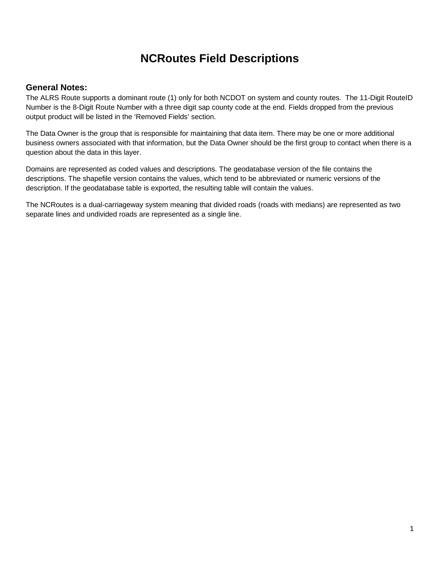# **NCRoutes Field Descriptions**

#### **General Notes:**

The ALRS Route supports a dominant route (1) only for both NCDOT on system and county routes. The 11-Digit RouteID Number is the 8-Digit Route Number with a three digit sap county code at the end. Fields dropped from the previous output product will be listed in the 'Removed Fields' section.

The Data Owner is the group that is responsible for maintaining that data item. There may be one or more additional business owners associated with that information, but the Data Owner should be the first group to contact when there is a question about the data in this layer.

Domains are represented as coded values and descriptions. The geodatabase version of the file contains the descriptions. The shapefile version contains the values, which tend to be abbreviated or numeric versions of the description. If the geodatabase table is exported, the resulting table will contain the values.

The NCRoutes is a dual-carriageway system meaning that divided roads (roads with medians) are represented as two separate lines and undivided roads are represented as a single line.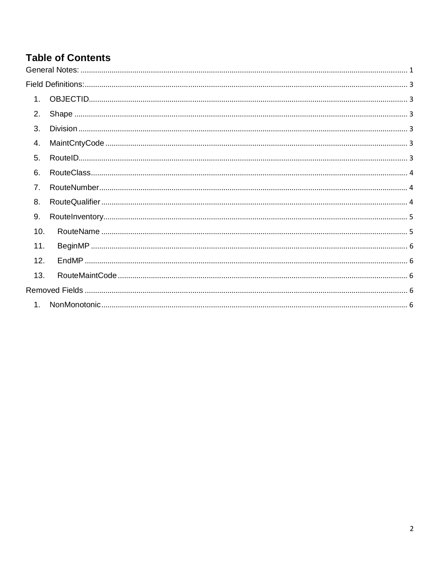#### **Table of Contents**  $\overline{1}$

| 1 <sub>1</sub>   |  |
|------------------|--|
| 2.               |  |
| $\overline{3}$ . |  |
| 4.               |  |
| 5.               |  |
| 6.               |  |
| 7 <sub>1</sub>   |  |
| 8.               |  |
| 9.               |  |
| 10.              |  |
| 11.              |  |
| 12.              |  |
| 13.              |  |
|                  |  |
| 1.               |  |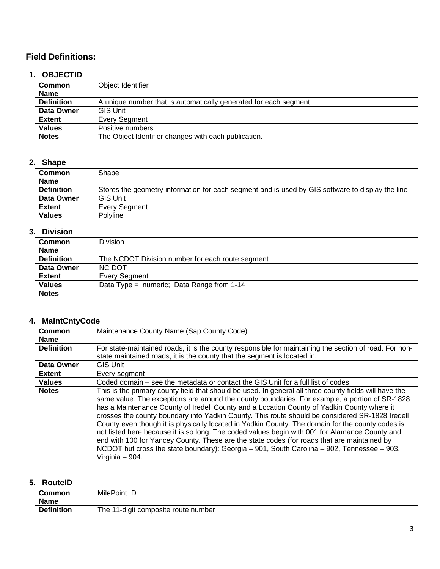## **Field Definitions:**

## **1. OBJECTID**

| <b>Common</b>     | Object Identifier                                                |  |
|-------------------|------------------------------------------------------------------|--|
| <b>Name</b>       |                                                                  |  |
| <b>Definition</b> | A unique number that is automatically generated for each segment |  |
| Data Owner        | <b>GIS Unit</b>                                                  |  |
| <b>Extent</b>     | <b>Every Segment</b>                                             |  |
| <b>Values</b>     | Positive numbers                                                 |  |
| <b>Notes</b>      | The Object Identifier changes with each publication.             |  |

#### **2. Shape**

| <b>Common</b><br><b>Name</b> | Shape                                                                                            |
|------------------------------|--------------------------------------------------------------------------------------------------|
| <b>Definition</b>            | Stores the geometry information for each segment and is used by GIS software to display the line |
| Data Owner                   | <b>GIS Unit</b>                                                                                  |
| <b>Extent</b>                | Every Segment                                                                                    |
| <b>Values</b>                | Polyline                                                                                         |

## **3. Division**

| <b>Common</b>     | Division                                         |  |
|-------------------|--------------------------------------------------|--|
| <b>Name</b>       |                                                  |  |
| <b>Definition</b> | The NCDOT Division number for each route segment |  |
| Data Owner        | NC DOT                                           |  |
| <b>Extent</b>     | Every Segment                                    |  |
| <b>Values</b>     | Data Type = numeric; Data Range from 1-14        |  |
| <b>Notes</b>      |                                                  |  |

## **4. MaintCntyCode**

| Common            | Maintenance County Name (Sap County Code)                                                                                                                                                                                                                                                                                                                                                                                                                                                                                                                                                                                                                                                                                                                                                                                             |  |
|-------------------|---------------------------------------------------------------------------------------------------------------------------------------------------------------------------------------------------------------------------------------------------------------------------------------------------------------------------------------------------------------------------------------------------------------------------------------------------------------------------------------------------------------------------------------------------------------------------------------------------------------------------------------------------------------------------------------------------------------------------------------------------------------------------------------------------------------------------------------|--|
| <b>Name</b>       |                                                                                                                                                                                                                                                                                                                                                                                                                                                                                                                                                                                                                                                                                                                                                                                                                                       |  |
| <b>Definition</b> | For state-maintained roads, it is the county responsible for maintaining the section of road. For non-                                                                                                                                                                                                                                                                                                                                                                                                                                                                                                                                                                                                                                                                                                                                |  |
|                   | state maintained roads, it is the county that the segment is located in.                                                                                                                                                                                                                                                                                                                                                                                                                                                                                                                                                                                                                                                                                                                                                              |  |
| Data Owner        | <b>GIS Unit</b>                                                                                                                                                                                                                                                                                                                                                                                                                                                                                                                                                                                                                                                                                                                                                                                                                       |  |
| <b>Extent</b>     | Every segment                                                                                                                                                                                                                                                                                                                                                                                                                                                                                                                                                                                                                                                                                                                                                                                                                         |  |
| <b>Values</b>     | Coded domain – see the metadata or contact the GIS Unit for a full list of codes                                                                                                                                                                                                                                                                                                                                                                                                                                                                                                                                                                                                                                                                                                                                                      |  |
| <b>Notes</b>      | This is the primary county field that should be used. In general all three county fields will have the<br>same value. The exceptions are around the county boundaries. For example, a portion of SR-1828<br>has a Maintenance County of Iredell County and a Location County of Yadkin County where it<br>crosses the county boundary into Yadkin County. This route should be considered SR-1828 Iredell<br>County even though it is physically located in Yadkin County. The domain for the county codes is<br>not listed here because it is so long. The coded values begin with 001 for Alamance County and<br>end with 100 for Yancey County. These are the state codes (for roads that are maintained by<br>NCDOT but cross the state boundary): Georgia $-$ 901, South Carolina $-$ 902, Tennessee $-$ 903,<br>Virginia - 904. |  |

## **5. RouteID**

| The 11-digit composite route number |
|-------------------------------------|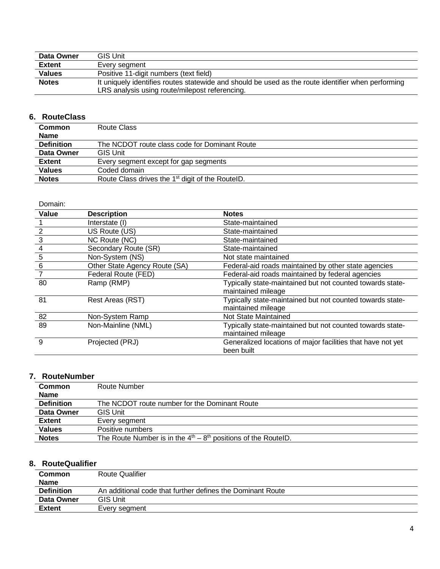| Data Owner    | GIS Unit                                                                                           |
|---------------|----------------------------------------------------------------------------------------------------|
| <b>Extent</b> | Every seament                                                                                      |
| <b>Values</b> | Positive 11-digit numbers (text field)                                                             |
| <b>Notes</b>  | It uniquely identifies routes statewide and should be used as the route identifier when performing |
|               | LRS analysis using route/milepost referencing.                                                     |

#### **6. RouteClass**

| <b>Common</b>     | Route Class                                                  |  |
|-------------------|--------------------------------------------------------------|--|
| <b>Name</b>       |                                                              |  |
| <b>Definition</b> | The NCDOT route class code for Dominant Route                |  |
| Data Owner        | <b>GIS Unit</b>                                              |  |
| <b>Extent</b>     | Every segment except for gap segments                        |  |
| <b>Values</b>     | Coded domain                                                 |  |
| <b>Notes</b>      | Route Class drives the 1 <sup>st</sup> digit of the RouteID. |  |
|                   |                                                              |  |

| Domain:         |                               |                                                             |
|-----------------|-------------------------------|-------------------------------------------------------------|
| Value           | <b>Description</b>            | <b>Notes</b>                                                |
|                 | Interstate (I)                | State-maintained                                            |
| $\overline{2}$  | US Route (US)                 | State-maintained                                            |
| $\frac{3}{2}$   | NC Route (NC)                 | State-maintained                                            |
| $\overline{4}$  | Secondary Route (SR)          | State-maintained                                            |
| $\overline{5}$  | Non-System (NS)               | Not state maintained                                        |
| $6\phantom{1}6$ | Other State Agency Route (SA) | Federal-aid roads maintained by other state agencies        |
| 7               | Federal Route (FED)           | Federal-aid roads maintained by federal agencies            |
| 80              | Ramp (RMP)                    | Typically state-maintained but not counted towards state-   |
|                 |                               | maintained mileage                                          |
| 81              | Rest Areas (RST)              | Typically state-maintained but not counted towards state-   |
|                 |                               | maintained mileage                                          |
| 82              | Non-System Ramp               | Not State Maintained                                        |
| 89              | Non-Mainline (NML)            | Typically state-maintained but not counted towards state-   |
|                 |                               | maintained mileage                                          |
| 9               | Projected (PRJ)               | Generalized locations of major facilities that have not yet |
|                 |                               | been built                                                  |

#### **7. RouteNumber**

| Common            | Route Number                                                     |  |
|-------------------|------------------------------------------------------------------|--|
| <b>Name</b>       |                                                                  |  |
| <b>Definition</b> | The NCDOT route number for the Dominant Route                    |  |
| Data Owner        | <b>GIS Unit</b>                                                  |  |
| <b>Extent</b>     | Every segment                                                    |  |
| <b>Values</b>     | Positive numbers                                                 |  |
| <b>Notes</b>      | The Route Number is in the $4th - 8th$ positions of the RoutelD. |  |

## **8. RouteQualifier**

| .                 |                                                            |  |
|-------------------|------------------------------------------------------------|--|
| Common            | <b>Route Qualifier</b>                                     |  |
| <b>Name</b>       |                                                            |  |
| <b>Definition</b> | An additional code that further defines the Dominant Route |  |
| Data Owner        | <b>GIS Unit</b>                                            |  |
| <b>Extent</b>     | Every segment                                              |  |
|                   |                                                            |  |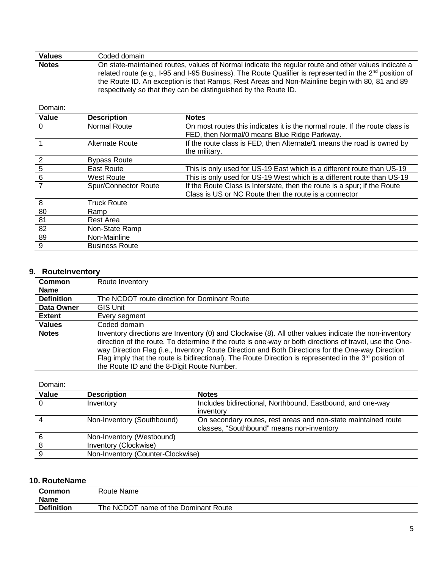| <b>Values</b>                     | Coded domain                                                                                                                                                                                                                                                                                                                                                                                    |                                                                                                                                   |  |
|-----------------------------------|-------------------------------------------------------------------------------------------------------------------------------------------------------------------------------------------------------------------------------------------------------------------------------------------------------------------------------------------------------------------------------------------------|-----------------------------------------------------------------------------------------------------------------------------------|--|
| <b>Notes</b>                      | On state-maintained routes, values of Normal indicate the regular route and other values indicate a<br>related route (e.g., I-95 and I-95 Business). The Route Qualifier is represented in the 2 <sup>nd</sup> position of<br>the Route ID. An exception is that Ramps, Rest Areas and Non-Mainline begin with 80, 81 and 89<br>respectively so that they can be distinguished by the Route ID. |                                                                                                                                   |  |
| Domain:                           |                                                                                                                                                                                                                                                                                                                                                                                                 |                                                                                                                                   |  |
| Value                             | <b>Description</b>                                                                                                                                                                                                                                                                                                                                                                              | <b>Notes</b>                                                                                                                      |  |
| $\Omega$                          | Normal Route                                                                                                                                                                                                                                                                                                                                                                                    | On most routes this indicates it is the normal route. If the route class is<br>FED, then Normal/0 means Blue Ridge Parkway.       |  |
|                                   | Alternate Route                                                                                                                                                                                                                                                                                                                                                                                 | If the route class is FED, then Alternate/1 means the road is owned by<br>the military.                                           |  |
|                                   | <b>Bypass Route</b>                                                                                                                                                                                                                                                                                                                                                                             |                                                                                                                                   |  |
| $\frac{\frac{2}{5}}{\frac{6}{7}}$ | <b>East Route</b>                                                                                                                                                                                                                                                                                                                                                                               | This is only used for US-19 East which is a different route than US-19                                                            |  |
|                                   | <b>West Route</b>                                                                                                                                                                                                                                                                                                                                                                               | This is only used for US-19 West which is a different route than US-19                                                            |  |
|                                   | Spur/Connector Route                                                                                                                                                                                                                                                                                                                                                                            | If the Route Class is Interstate, then the route is a spur; if the Route<br>Class is US or NC Route then the route is a connector |  |
| 8                                 | <b>Truck Route</b>                                                                                                                                                                                                                                                                                                                                                                              |                                                                                                                                   |  |
| $\overline{80}$                   | Ramp                                                                                                                                                                                                                                                                                                                                                                                            |                                                                                                                                   |  |
| 81                                | Rest Area                                                                                                                                                                                                                                                                                                                                                                                       |                                                                                                                                   |  |
| 82                                | Non-State Ramp                                                                                                                                                                                                                                                                                                                                                                                  |                                                                                                                                   |  |
| 89                                | Non-Mainline                                                                                                                                                                                                                                                                                                                                                                                    |                                                                                                                                   |  |
| 9                                 | <b>Business Route</b>                                                                                                                                                                                                                                                                                                                                                                           |                                                                                                                                   |  |

## **9. RouteInventory**

| <b>Common</b>     | Route Inventory                                                                                                                                                                                                                                                                                                                                                                                                                                                                    |
|-------------------|------------------------------------------------------------------------------------------------------------------------------------------------------------------------------------------------------------------------------------------------------------------------------------------------------------------------------------------------------------------------------------------------------------------------------------------------------------------------------------|
| Name              |                                                                                                                                                                                                                                                                                                                                                                                                                                                                                    |
| <b>Definition</b> | The NCDOT route direction for Dominant Route                                                                                                                                                                                                                                                                                                                                                                                                                                       |
| Data Owner        | GIS Unit                                                                                                                                                                                                                                                                                                                                                                                                                                                                           |
| <b>Extent</b>     | Every segment                                                                                                                                                                                                                                                                                                                                                                                                                                                                      |
| <b>Values</b>     | Coded domain                                                                                                                                                                                                                                                                                                                                                                                                                                                                       |
| <b>Notes</b>      | Inventory directions are Inventory (0) and Clockwise (8). All other values indicate the non-inventory<br>direction of the route. To determine if the route is one-way or both directions of travel, use the One-<br>way Direction Flag (i.e., Inventory Route Direction and Both Directions for the One-way Direction<br>Flag imply that the route is bidirectional). The Route Direction is represented in the $3^{rd}$ position of<br>the Route ID and the 8-Digit Route Number. |

Domain:

| Value    | <b>Description</b>                | <b>Notes</b>                                                   |
|----------|-----------------------------------|----------------------------------------------------------------|
| $\Omega$ | Inventory                         | Includes bidirectional, Northbound, Eastbound, and one-way     |
|          |                                   | inventory                                                      |
|          | Non-Inventory (Southbound)        | On secondary routes, rest areas and non-state maintained route |
|          |                                   | classes, "Southbound" means non-inventory                      |
|          | Non-Inventory (Westbound)         |                                                                |
|          | Inventory (Clockwise)             |                                                                |
|          | Non-Inventory (Counter-Clockwise) |                                                                |

#### **10. RouteName**

| Common<br>Name    | Route Name                              |
|-------------------|-----------------------------------------|
| <b>Definition</b> | The NCDOT<br>name of the Dominant Route |